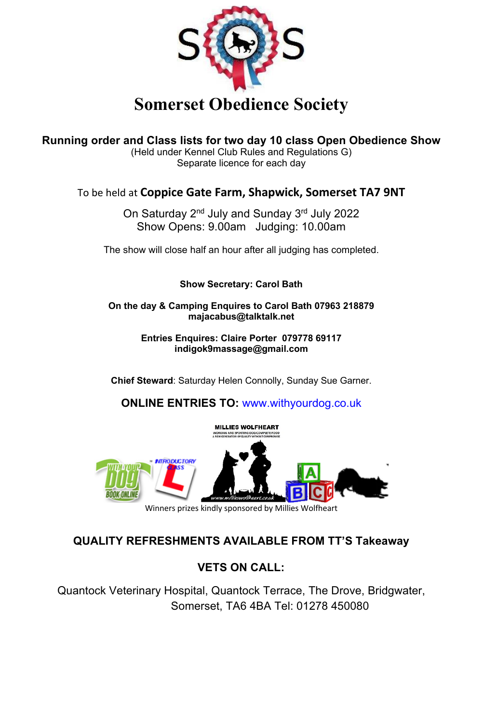

**Running order and Class lists for two day 10 class Open Obedience Show**

(Held under Kennel Club Rules and Regulations G) Separate licence for each day

### To be held at **Coppice Gate Farm, Shapwick, Somerset TA7 9NT**

On Saturday 2nd July and Sunday 3rd July 2022 Show Opens: 9.00am Judging: 10.00am

The show will close half an hour after all judging has completed.

### **Show Secretary: Carol Bath**

**On the day & Camping Enquires to Carol Bath 07963 218879 majacabus@talktalk.net**

> **Entries Enquires: Claire Porter 079778 69117 indigok9massage@gmail.com**

**Chief Steward**: Saturday Helen Connolly, Sunday Sue Garner.

**ONLINE ENTRIES TO:** www.withyourdog.co.uk



**QUALITY REFRESHMENTS AVAILABLE FROM TT'S Takeaway**

### **VETS ON CALL:**

Quantock Veterinary Hospital, Quantock Terrace, The Drove, Bridgwater, Somerset, TA6 4BA Tel: 01278 450080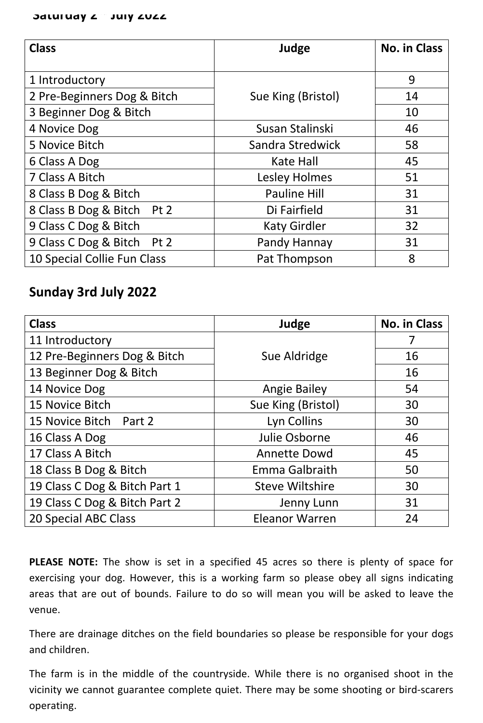### **Saturday 2<sup>th</sup> July 2022**

| <b>Class</b>                  | Judge                | <b>No. in Class</b> |
|-------------------------------|----------------------|---------------------|
| 1 Introductory                |                      | 9                   |
| 2 Pre-Beginners Dog & Bitch   | Sue King (Bristol)   | 14                  |
| 3 Beginner Dog & Bitch        |                      | 10                  |
| 4 Novice Dog                  | Susan Stalinski      | 46                  |
| 5 Novice Bitch                | Sandra Stredwick     | 58                  |
| 6 Class A Dog                 | <b>Kate Hall</b>     | 45                  |
| 7 Class A Bitch               | <b>Lesley Holmes</b> | 51                  |
| 8 Class B Dog & Bitch         | <b>Pauline Hill</b>  | 31                  |
| 8 Class B Dog & Bitch<br>Pt 2 | Di Fairfield         | 31                  |
| 9 Class C Dog & Bitch         | <b>Katy Girdler</b>  | 32                  |
| 9 Class C Dog & Bitch<br>Pt 2 | Pandy Hannay         | 31                  |
| 10 Special Collie Fun Class   | Pat Thompson         | 8                   |

### **Sunday 3rd July 2022**

| <b>Class</b>                  | Judge                  | <b>No. in Class</b> |
|-------------------------------|------------------------|---------------------|
| 11 Introductory               |                        | 7                   |
| 12 Pre-Beginners Dog & Bitch  | Sue Aldridge           | 16                  |
| 13 Beginner Dog & Bitch       |                        | 16                  |
| 14 Novice Dog                 | <b>Angie Bailey</b>    | 54                  |
| 15 Novice Bitch               | Sue King (Bristol)     | 30                  |
| 15 Novice Bitch Part 2        | Lyn Collins            | 30                  |
| 16 Class A Dog                | Julie Osborne          | 46                  |
| 17 Class A Bitch              | <b>Annette Dowd</b>    | 45                  |
| 18 Class B Dog & Bitch        | Emma Galbraith         | 50                  |
| 19 Class C Dog & Bitch Part 1 | <b>Steve Wiltshire</b> | 30                  |
| 19 Class C Dog & Bitch Part 2 | Jenny Lunn             | 31                  |
| 20 Special ABC Class          | <b>Eleanor Warren</b>  | 24                  |

**PLEASE NOTE:** The show is set in a specified 45 acres so there is plenty of space for exercising your dog. However, this is a working farm so please obey all signs indicating areas that are out of bounds. Failure to do so will mean you will be asked to leave the venue.

There are drainage ditches on the field boundaries so please be responsible for your dogs and children.

The farm is in the middle of the countryside. While there is no organised shoot in the vicinity we cannot guarantee complete quiet. There may be some shooting or bird-scarers operating.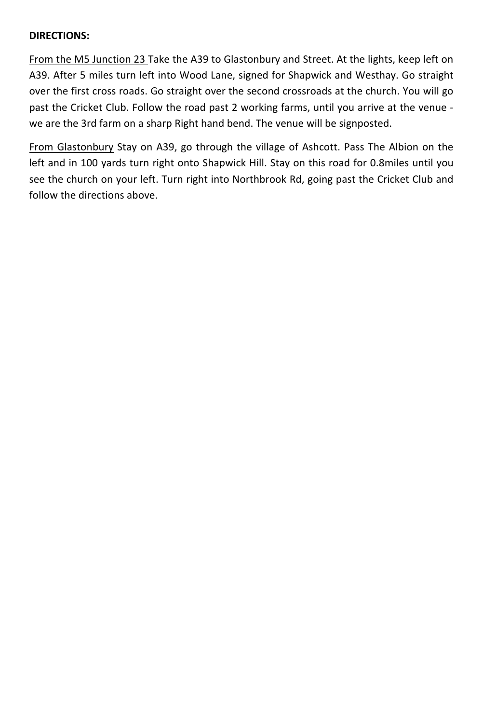### **DIRECTIONS:**

From the M5 Junction 23 Take the A39 to Glastonbury and Street. At the lights, keep left on A39. After 5 miles turn left into Wood Lane, signed for Shapwick and Westhay. Go straight over the first cross roads. Go straight over the second crossroads at the church. You will go past the Cricket Club. Follow the road past 2 working farms, until you arrive at the venue we are the 3rd farm on a sharp Right hand bend. The venue will be signposted.

From Glastonbury Stay on A39, go through the village of Ashcott. Pass The Albion on the left and in 100 yards turn right onto Shapwick Hill. Stay on this road for 0.8miles until you see the church on your left. Turn right into Northbrook Rd, going past the Cricket Club and follow the directions above.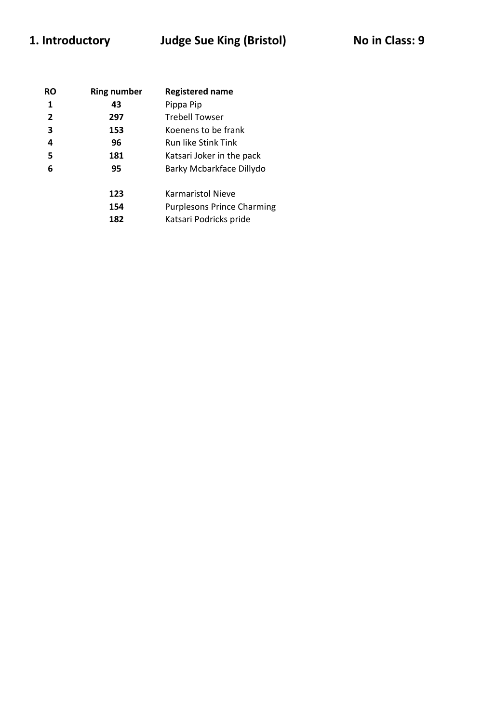# 1. Introductory **Judge Sue King (Bristol)** No in Class: 9

| <b>RO</b> | <b>Ring number</b> | <b>Registered name</b>            |
|-----------|--------------------|-----------------------------------|
| 1         | 43                 | Pippa Pip                         |
| 2         | 297                | <b>Trebell Towser</b>             |
| 3         | 153                | Koenens to be frank               |
| 4         | 96                 | <b>Run like Stink Tink</b>        |
| 5         | 181                | Katsari Joker in the pack         |
| 6         | 95                 | Barky Mcbarkface Dillydo          |
|           | 123                | Karmaristol Nieve                 |
|           | 154                | <b>Purplesons Prince Charming</b> |
|           | 182                | Katsari Podricks pride            |
|           |                    |                                   |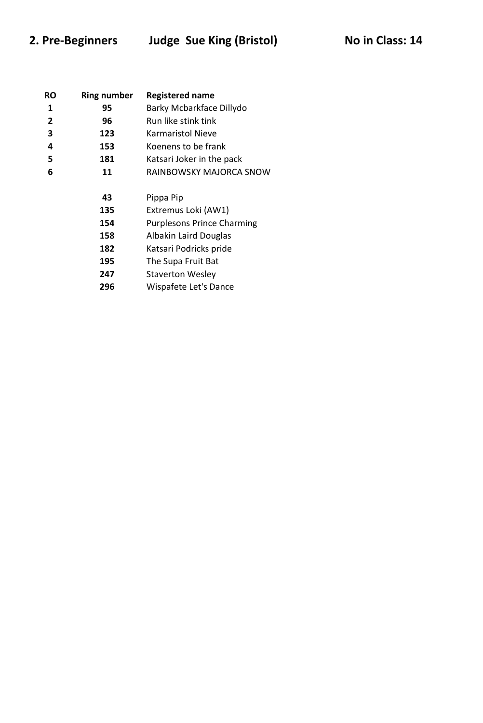## 2. Pre-Beginners Judge Sue King (Bristol) No in Class: 14

| RO             | <b>Ring number</b> | <b>Registered name</b>    |
|----------------|--------------------|---------------------------|
| 1              | 95                 | Barky Mcbarkface Dillydo  |
| $\overline{2}$ | 96                 | Run like stink tink       |
| 3              | 123                | <b>Karmaristol Nieve</b>  |
| 4              | 153                | Koenens to be frank       |
| 5              | 181                | Katsari Joker in the pack |
| 6              | 11                 | RAINBOWSKY MAJORCA SNOW   |
|                | 43                 | Pippa Pip                 |
|                |                    |                           |

 Extremus Loki (AW1) Purplesons Prince Charming

Albakin Laird Douglas

Katsari Podricks pride

The Supa Fruit Bat

Staverton Wesley

Wispafete Let's Dance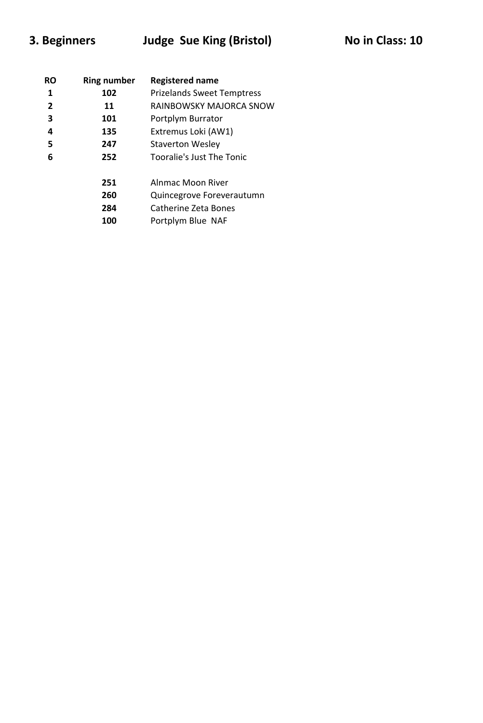# **3. Beginners** Judge Sue King (Bristol) Mo in Class: 10

| RO | <b>Ring number</b> | <b>Registered name</b>            |
|----|--------------------|-----------------------------------|
| 1  | 102                | <b>Prizelands Sweet Temptress</b> |
| 2  | 11                 | RAINBOWSKY MAJORCA SNOW           |
| 3  | 101                | Portplym Burrator                 |
| 4  | 135                | Extremus Loki (AW1)               |
| 5  | 247                | <b>Staverton Wesley</b>           |
| 6  | 252                | Tooralie's Just The Tonic         |
|    | 251                | Alnmac Moon River                 |
|    | 260                | Quincegrove Foreverautumn         |
|    | 284                | Catherine Zeta Bones              |
|    | 100                | Portplym Blue NAF                 |
|    |                    |                                   |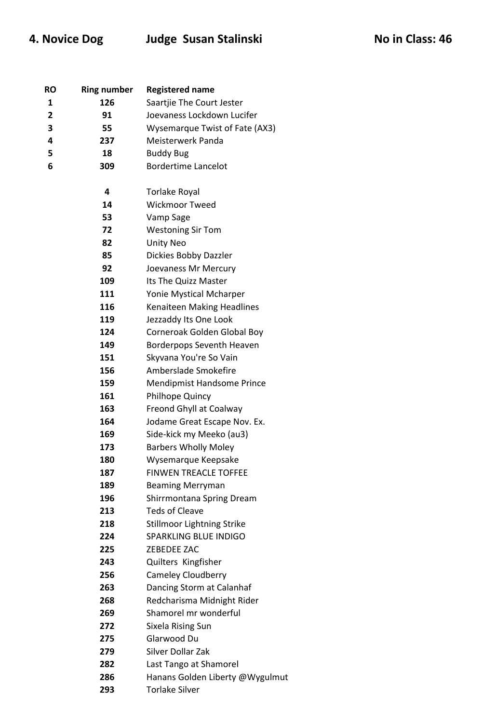# 4. Novice Dog Judge Susan Stalinski **No in Class**: 46

| RO             | <b>Ring number</b> | <b>Registered name</b>            |
|----------------|--------------------|-----------------------------------|
| 1              | 126                | Saartjie The Court Jester         |
| $\overline{2}$ | 91                 | Joevaness Lockdown Lucifer        |
| 3              | 55                 | Wysemarque Twist of Fate (AX3)    |
| 4              | 237                | Meisterwerk Panda                 |
| 5              | 18                 | <b>Buddy Bug</b>                  |
| 6              | 309                | <b>Bordertime Lancelot</b>        |
|                |                    |                                   |
|                | 4                  | <b>Torlake Royal</b>              |
|                | 14                 | <b>Wickmoor Tweed</b>             |
|                | 53                 | Vamp Sage                         |
|                | 72                 | <b>Westoning Sir Tom</b>          |
|                | 82                 | <b>Unity Neo</b>                  |
|                | 85                 | Dickies Bobby Dazzler             |
|                | 92                 | Joevaness Mr Mercury              |
|                | 109                | Its The Quizz Master              |
|                | 111                | Yonie Mystical Mcharper           |
|                | 116                | Kenaiteen Making Headlines        |
|                | 119                | Jezzaddy Its One Look             |
|                | 124                | Corneroak Golden Global Boy       |
|                | 149                | Borderpops Seventh Heaven         |
|                | 151                | Skyvana You're So Vain            |
|                | 156                | Amberslade Smokefire              |
|                | 159                | <b>Mendipmist Handsome Prince</b> |
|                | 161                | <b>Philhope Quincy</b>            |
|                | 163                | Freond Ghyll at Coalway           |
|                | 164                | Jodame Great Escape Nov. Ex.      |
|                | 169                | Side-kick my Meeko (au3)          |
|                | 173                | <b>Barbers Wholly Moley</b>       |
|                | 180                | Wysemarque Keepsake               |
|                | 187                | <b>FINWEN TREACLE TOFFEE</b>      |
|                | 189                | <b>Beaming Merryman</b>           |
|                | 196                | Shirrmontana Spring Dream         |
|                | 213                | <b>Teds of Cleave</b>             |
|                | 218                | <b>Stillmoor Lightning Strike</b> |
|                | 224                | <b>SPARKLING BLUE INDIGO</b>      |
|                | 225                | ZEBEDEE ZAC                       |
|                | 243                | Quilters Kingfisher               |
|                | 256                | Cameley Cloudberry                |
|                | 263                | Dancing Storm at Calanhaf         |
|                | 268                | Redcharisma Midnight Rider        |
|                | 269                | Shamorel mr wonderful             |
|                | 272                | Sixela Rising Sun                 |
|                | 275                | Glarwood Du                       |
|                | 279                | Silver Dollar Zak                 |
|                | 282                |                                   |
|                |                    | Last Tango at Shamorel            |
|                | 286                | Hanans Golden Liberty @Wygulmut   |
|                | 293                | <b>Torlake Silver</b>             |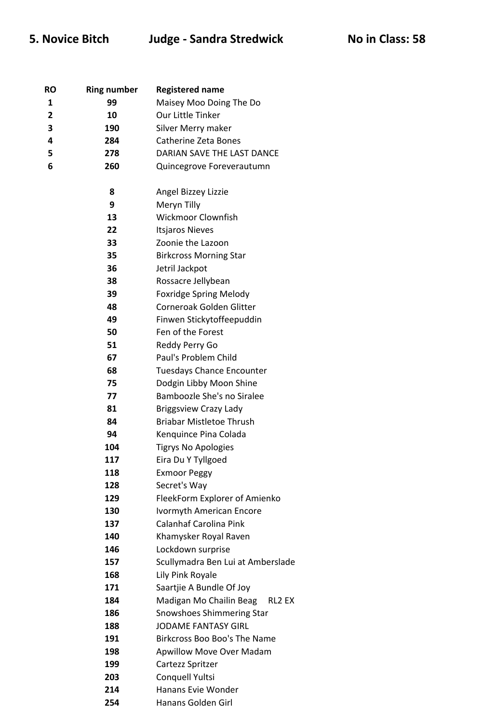## **5. Novice Bitch Judge - Sandra Stredwick No in Class: 58**

| RO             | <b>Ring number</b> | <b>Registered name</b>            |
|----------------|--------------------|-----------------------------------|
| 1              | 99                 | Maisey Moo Doing The Do           |
| $\overline{2}$ | 10                 | Our Little Tinker                 |
| 3              | 190                | Silver Merry maker                |
| 4              | 284                | <b>Catherine Zeta Bones</b>       |
| 5              | 278                | DARIAN SAVE THE LAST DANCE        |
| 6              | 260                | Quincegrove Foreverautumn         |
|                |                    |                                   |
|                | 8                  | Angel Bizzey Lizzie               |
|                | 9                  | Meryn Tilly                       |
|                | 13                 | <b>Wickmoor Clownfish</b>         |
|                | 22                 | <b>Itsjaros Nieves</b>            |
|                | 33                 | Zoonie the Lazoon                 |
|                | 35                 | <b>Birkcross Morning Star</b>     |
|                | 36                 | Jetril Jackpot                    |
|                | 38                 | Rossacre Jellybean                |
|                | 39                 | <b>Foxridge Spring Melody</b>     |
|                | 48                 | Corneroak Golden Glitter          |
|                | 49                 | Finwen Stickytoffeepuddin         |
|                | 50                 | Fen of the Forest                 |
|                | 51                 | Reddy Perry Go                    |
|                | 67                 | Paul's Problem Child              |
|                | 68                 | <b>Tuesdays Chance Encounter</b>  |
|                | 75                 | Dodgin Libby Moon Shine           |
|                | 77                 | Bamboozle She's no Siralee        |
|                | 81                 | <b>Briggsview Crazy Lady</b>      |
|                | 84                 | <b>Briabar Mistletoe Thrush</b>   |
|                | 94                 | Kenquince Pina Colada             |
|                | 104                | <b>Tigrys No Apologies</b>        |
|                | 117                | Eira Du Y Tyllgoed                |
|                | 118                | <b>Exmoor Peggy</b>               |
|                | 128                | Secret's Way                      |
|                | 129                | FleekForm Explorer of Amienko     |
|                | 130                | <b>Ivormyth American Encore</b>   |
|                | 137                | Calanhaf Carolina Pink            |
|                | 140                | Khamysker Royal Raven             |
|                | 146                | Lockdown surprise                 |
|                | 157                | Scullymadra Ben Lui at Amberslade |
|                | 168                | Lily Pink Royale                  |
|                | 171                | Saartjie A Bundle Of Joy          |
|                | 184                | Madigan Mo Chailin Beag<br>RL2 EX |
|                | 186                | Snowshoes Shimmering Star         |
|                | 188                | <b>JODAME FANTASY GIRL</b>        |
|                | 191                | Birkcross Boo Boo's The Name      |
|                | 198                | <b>Apwillow Move Over Madam</b>   |
|                | 199                | Cartezz Spritzer                  |
|                | 203                | Conquell Yultsi                   |
|                | 214                | Hanans Evie Wonder                |
|                | 254                | Hanans Golden Girl                |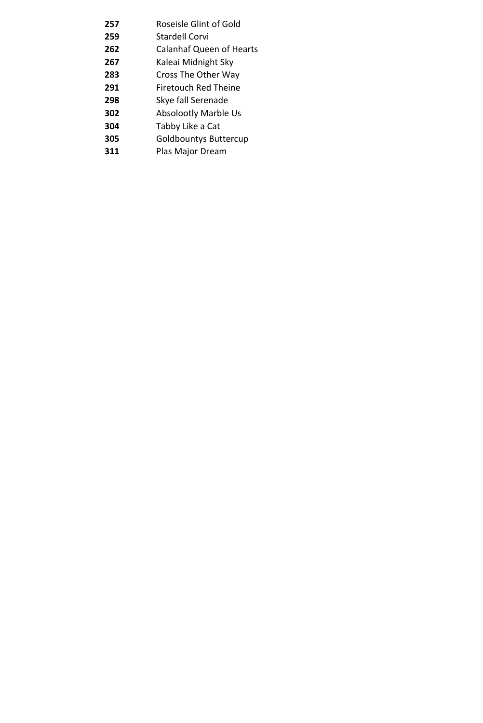| 257 | Roseisle Glint of Gold          |
|-----|---------------------------------|
| 259 | Stardell Corvi                  |
| 262 | <b>Calanhaf Queen of Hearts</b> |
| 267 | Kaleai Midnight Sky             |
| 283 | Cross The Other Way             |
| 291 | Firetouch Red Theine            |
| 298 | Skye fall Serenade              |
| 302 | <b>Absolootly Marble Us</b>     |
| 304 | Tabby Like a Cat                |
| 305 | <b>Goldbountys Buttercup</b>    |
| 311 | Plas Major Dream                |
|     |                                 |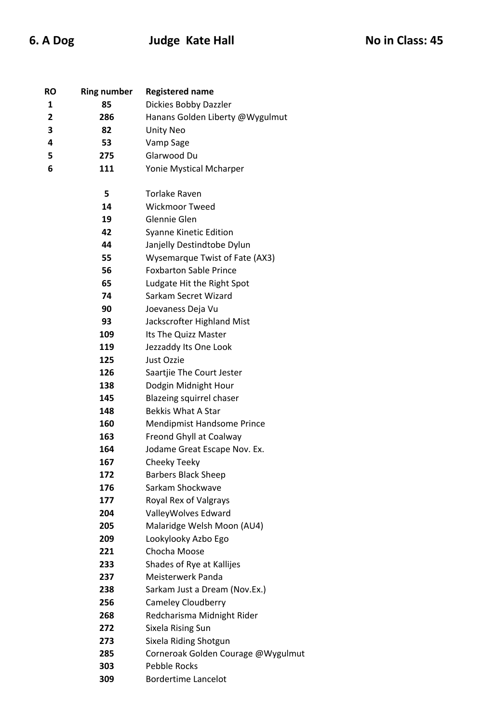| RO | <b>Ring number</b> | <b>Registered name</b>             |
|----|--------------------|------------------------------------|
| 1  | 85                 | Dickies Bobby Dazzler              |
| 2  | 286                | Hanans Golden Liberty @Wygulmut    |
| 3  | 82                 | <b>Unity Neo</b>                   |
| 4  | 53                 | Vamp Sage                          |
| 5  | 275                | Glarwood Du                        |
| 6  | 111                | Yonie Mystical Mcharper            |
|    |                    |                                    |
|    | 5                  | <b>Torlake Raven</b>               |
|    | 14                 | <b>Wickmoor Tweed</b>              |
|    | 19                 | Glennie Glen                       |
|    | 42                 | Syanne Kinetic Edition             |
|    | 44                 | Janjelly Destindtobe Dylun         |
|    | 55                 | Wysemarque Twist of Fate (AX3)     |
|    | 56                 | <b>Foxbarton Sable Prince</b>      |
|    | 65                 | Ludgate Hit the Right Spot         |
|    | 74                 | Sarkam Secret Wizard               |
|    | 90                 | Joevaness Deja Vu                  |
|    | 93                 | Jackscrofter Highland Mist         |
|    | 109                | Its The Quizz Master               |
|    | 119                | Jezzaddy Its One Look              |
|    | 125                | Just Ozzie                         |
|    | 126                | Saartjie The Court Jester          |
|    | 138                | Dodgin Midnight Hour               |
|    | 145                | Blazeing squirrel chaser           |
|    | 148                | <b>Bekkis What A Star</b>          |
|    | 160                | <b>Mendipmist Handsome Prince</b>  |
|    | 163                | Freond Ghyll at Coalway            |
|    | 164                | Jodame Great Escape Nov. Ex.       |
|    | 167                | Cheeky Teeky                       |
|    | 172                | <b>Barbers Black Sheep</b>         |
|    | 176                | Sarkam Shockwave                   |
|    | 177                | Royal Rex of Valgrays              |
|    | 204                | ValleyWolves Edward                |
|    | 205                | Malaridge Welsh Moon (AU4)         |
|    | 209                | Lookylooky Azbo Ego                |
|    | 221                | Chocha Moose                       |
|    | 233                | Shades of Rye at Kallijes          |
|    | 237                | Meisterwerk Panda                  |
|    | 238                | Sarkam Just a Dream (Nov.Ex.)      |
|    | 256                | Cameley Cloudberry                 |
|    | 268                | Redcharisma Midnight Rider         |
|    | 272                | Sixela Rising Sun                  |
|    | 273                | Sixela Riding Shotgun              |
|    | 285                | Corneroak Golden Courage @Wygulmut |
|    | 303                | <b>Pebble Rocks</b>                |
|    | 309                | <b>Bordertime Lancelot</b>         |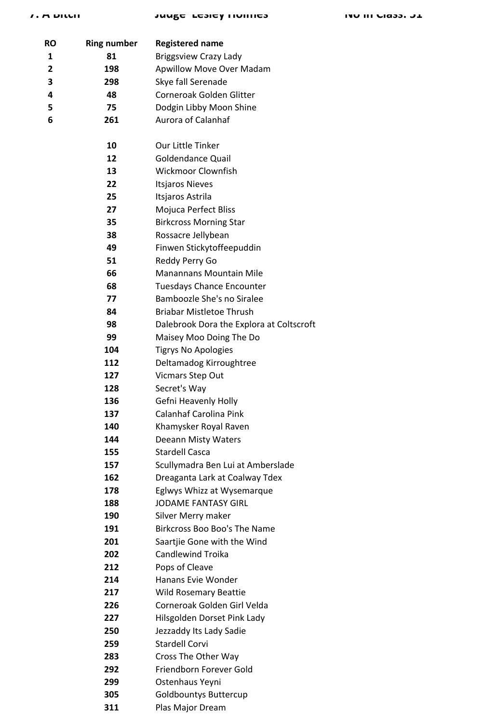### **7. A Bitch Judge Lesley Holmes No in Class: 51**

| RO | <b>Ring number</b> | <b>Registered name</b>                   |
|----|--------------------|------------------------------------------|
| 1  | 81                 | <b>Briggsview Crazy Lady</b>             |
| 2  | 198                | <b>Apwillow Move Over Madam</b>          |
| 3  | 298                | Skye fall Serenade                       |
| 4  | 48                 | Corneroak Golden Glitter                 |
| 5  | 75                 | Dodgin Libby Moon Shine                  |
| 6  | 261                | Aurora of Calanhaf                       |
|    | 10                 | Our Little Tinker                        |
|    | 12                 | <b>Goldendance Quail</b>                 |
|    | 13                 | <b>Wickmoor Clownfish</b>                |
|    | 22                 | <b>Itsjaros Nieves</b>                   |
|    | 25                 | Itsjaros Astrila                         |
|    | 27                 | Mojuca Perfect Bliss                     |
|    | 35                 | <b>Birkcross Morning Star</b>            |
|    | 38                 | Rossacre Jellybean                       |
|    | 49                 | Finwen Stickytoffeepuddin                |
|    | 51                 | Reddy Perry Go                           |
|    | 66                 | <b>Manannans Mountain Mile</b>           |
|    | 68                 | <b>Tuesdays Chance Encounter</b>         |
|    | 77                 | Bamboozle She's no Siralee               |
|    | 84                 | <b>Briabar Mistletoe Thrush</b>          |
|    | 98                 | Dalebrook Dora the Explora at Coltscroft |
|    | 99                 | Maisey Moo Doing The Do                  |
|    | 104                | <b>Tigrys No Apologies</b>               |
|    | 112                | Deltamadog Kirroughtree                  |
|    | 127                | Vicmars Step Out                         |
|    | 128                | Secret's Way                             |
|    | 136                | Gefni Heavenly Holly                     |
|    | 137                | Calanhaf Carolina Pink                   |
|    | 140                | Khamysker Royal Raven                    |
|    | 144                | <b>Deeann Misty Waters</b>               |
|    | 155                | <b>Stardell Casca</b>                    |
|    | 157                | Scullymadra Ben Lui at Amberslade        |
|    | 162                | Dreaganta Lark at Coalway Tdex           |
|    | 178                | Eglwys Whizz at Wysemarque               |
|    | 188                | <b>JODAME FANTASY GIRL</b>               |
|    | 190                | Silver Merry maker                       |
|    | 191                | Birkcross Boo Boo's The Name             |
|    | 201                | Saartjie Gone with the Wind              |
|    | 202                | <b>Candlewind Troika</b>                 |
|    | 212                | Pops of Cleave                           |
|    | 214                | Hanans Evie Wonder                       |
|    | 217                | <b>Wild Rosemary Beattie</b>             |
|    | 226                | Corneroak Golden Girl Velda              |
|    | 227                | Hilsgolden Dorset Pink Lady              |
|    | 250                | Jezzaddy Its Lady Sadie                  |
|    | 259                | <b>Stardell Corvi</b>                    |
|    | 283                | Cross The Other Way                      |
|    | 292                | Friendborn Forever Gold                  |
|    | 299                | Ostenhaus Yeyni                          |
|    | 305                | <b>Goldbountys Buttercup</b>             |
|    | 311                | Plas Major Dream                         |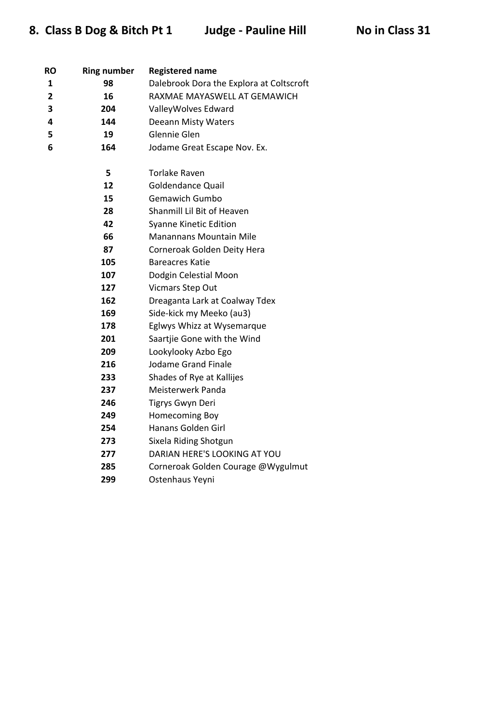| RO             | <b>Ring number</b> | <b>Registered name</b>                   |
|----------------|--------------------|------------------------------------------|
| 1              | 98                 | Dalebrook Dora the Explora at Coltscroft |
| $\overline{2}$ | 16                 | RAXMAE MAYASWELL AT GEMAWICH             |
| 3              | 204                | ValleyWolves Edward                      |
| 4              | 144                | <b>Deeann Misty Waters</b>               |
| 5.             | 19                 | Glennie Glen                             |
| 6              | 164                | Jodame Great Escape Nov. Ex.             |
|                |                    |                                          |
|                | 5                  | <b>Torlake Raven</b>                     |
|                | 12                 | <b>Goldendance Quail</b>                 |
|                | 15                 | <b>Gemawich Gumbo</b>                    |
|                | 28                 | Shanmill Lil Bit of Heaven               |
|                | 42                 | <b>Syanne Kinetic Edition</b>            |
|                | 66                 | Manannans Mountain Mile                  |
|                | 87                 | Corneroak Golden Deity Hera              |
|                | 105                | <b>Bareacres Katie</b>                   |
|                | 107                | Dodgin Celestial Moon                    |
|                | 127                | Vicmars Step Out                         |
|                | 162                | Dreaganta Lark at Coalway Tdex           |
|                | 169                | Side-kick my Meeko (au3)                 |
|                | 178                | Eglwys Whizz at Wysemarque               |
|                | 201                | Saartjie Gone with the Wind              |
|                | 209                | Lookylooky Azbo Ego                      |
|                | 216                | <b>Jodame Grand Finale</b>               |
|                | 233                | Shades of Rye at Kallijes                |
|                | 237                | Meisterwerk Panda                        |
|                | 246                | Tigrys Gwyn Deri                         |
|                | 249                | Homecoming Boy                           |
|                | 254                | Hanans Golden Girl                       |
|                | 273                | Sixela Riding Shotgun                    |
|                | 277                | DARIAN HERE'S LOOKING AT YOU             |
|                | 285                | Corneroak Golden Courage @Wygulmut       |
|                | 299                | Ostenhaus Yeyni                          |
|                |                    |                                          |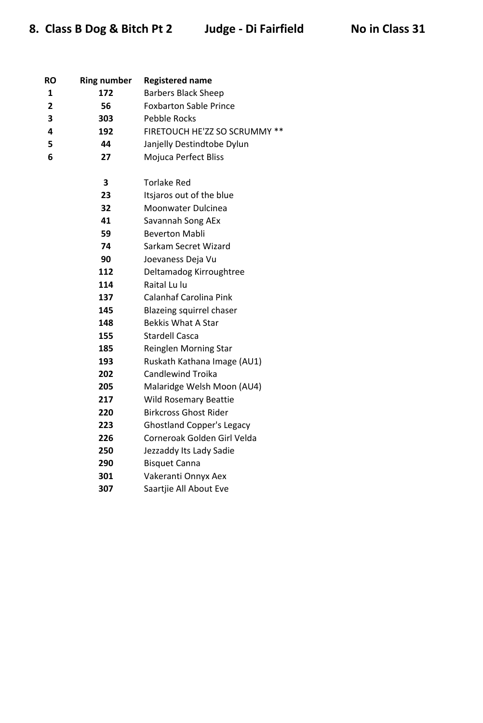| RO           | <b>Ring number</b> | <b>Registered name</b>           |
|--------------|--------------------|----------------------------------|
| 1            | 172                | <b>Barbers Black Sheep</b>       |
| $\mathbf{2}$ | 56                 | <b>Foxbarton Sable Prince</b>    |
| 3            | 303                | Pebble Rocks                     |
| 4            | 192                | FIRETOUCH HE'ZZ SO SCRUMMY **    |
| 5            | 44                 | Janjelly Destindtobe Dylun       |
| 6            | 27                 | Mojuca Perfect Bliss             |
|              |                    |                                  |
|              | 3                  | <b>Torlake Red</b>               |
|              | 23                 | Itsjaros out of the blue         |
|              | 32                 | Moonwater Dulcinea               |
|              | 41                 | Savannah Song AEx                |
|              | 59                 | <b>Beverton Mabli</b>            |
|              | 74                 | Sarkam Secret Wizard             |
|              | 90                 | Joevaness Deja Vu                |
|              | 112                | Deltamadog Kirroughtree          |
|              | 114                | Raital Lu lu                     |
|              | 137                | <b>Calanhaf Carolina Pink</b>    |
|              | 145                | Blazeing squirrel chaser         |
|              | 148                | <b>Bekkis What A Star</b>        |
|              | 155                | <b>Stardell Casca</b>            |
|              | 185                | Reinglen Morning Star            |
|              | 193                | Ruskath Kathana Image (AU1)      |
|              | 202                | <b>Candlewind Troika</b>         |
|              | 205                | Malaridge Welsh Moon (AU4)       |
|              | 217                | <b>Wild Rosemary Beattie</b>     |
|              | 220                | Birkcross Ghost Rider            |
|              | 223                | <b>Ghostland Copper's Legacy</b> |
|              | 226                | Corneroak Golden Girl Velda      |
|              | 250                | Jezzaddy Its Lady Sadie          |
|              | 290                | <b>Bisquet Canna</b>             |
|              | 301                | Vakeranti Onnyx Aex              |
|              | 307                | Saartjie All About Eve           |
|              |                    |                                  |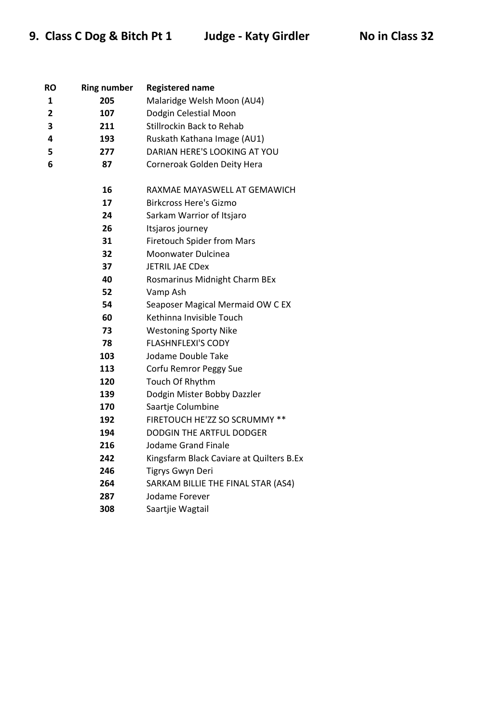| RO | <b>Ring number</b> | <b>Registered name</b>                   |
|----|--------------------|------------------------------------------|
| 1  | 205                | Malaridge Welsh Moon (AU4)               |
| 2  | 107                | Dodgin Celestial Moon                    |
| 3  | 211                | <b>Stillrockin Back to Rehab</b>         |
| 4  | 193                | Ruskath Kathana Image (AU1)              |
| 5  | 277                | DARIAN HERE'S LOOKING AT YOU             |
| 6  | 87                 | Corneroak Golden Deity Hera              |
|    |                    |                                          |
|    | 16                 | RAXMAE MAYASWELL AT GEMAWICH             |
|    | 17                 | <b>Birkcross Here's Gizmo</b>            |
|    | 24                 | Sarkam Warrior of Itsjaro                |
|    | 26                 | Itsjaros journey                         |
|    | 31                 | <b>Firetouch Spider from Mars</b>        |
|    | 32                 | Moonwater Dulcinea                       |
|    | 37                 | <b>JETRIL JAE CDex</b>                   |
|    | 40                 | Rosmarinus Midnight Charm BEx            |
|    | 52                 | Vamp Ash                                 |
|    | 54                 | Seaposer Magical Mermaid OW C EX         |
|    | 60                 | Kethinna Invisible Touch                 |
|    | 73                 | <b>Westoning Sporty Nike</b>             |
|    | 78                 | <b>FLASHNFLEXI'S CODY</b>                |
|    | 103                | Jodame Double Take                       |
|    | 113                | Corfu Remror Peggy Sue                   |
|    | 120                | Touch Of Rhythm                          |
|    | 139                | Dodgin Mister Bobby Dazzler              |
|    | 170                | Saartje Columbine                        |
|    | 192                | FIRETOUCH HE'ZZ SO SCRUMMY **            |
|    | 194                | <b>DODGIN THE ARTFUL DODGER</b>          |
|    | 216                | Jodame Grand Finale                      |
|    | 242                | Kingsfarm Black Caviare at Quilters B.Ex |
|    | 246                | Tigrys Gwyn Deri                         |
|    | 264                | SARKAM BILLIE THE FINAL STAR (AS4)       |
|    | 287                | Jodame Forever                           |
|    | 308                | Saartjie Wagtail                         |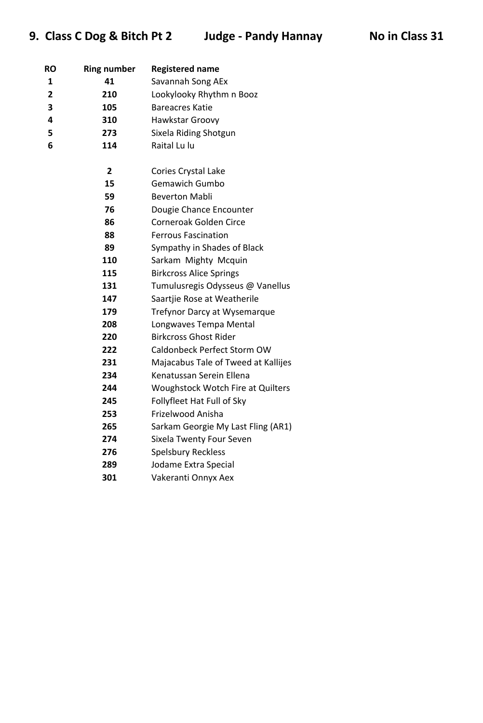## **9. Class C Dog & Bitch Pt 2** Judge - Pandy Hannay No in Class 31

| RO             | <b>Ring number</b> | <b>Registered name</b>              |
|----------------|--------------------|-------------------------------------|
| 1              | 41                 | Savannah Song AEx                   |
| $\overline{2}$ | 210                | Lookylooky Rhythm n Booz            |
| 3              | 105                | <b>Bareacres Katie</b>              |
| 4              | 310                | Hawkstar Groovy                     |
| 5              | 273                | Sixela Riding Shotgun               |
| 6              | 114                | Raital Lu lu                        |
|                |                    |                                     |
|                | $\overline{2}$     | Cories Crystal Lake                 |
|                | 15                 | <b>Gemawich Gumbo</b>               |
|                | 59                 | <b>Beverton Mabli</b>               |
|                | 76                 | Dougie Chance Encounter             |
|                | 86                 | Corneroak Golden Circe              |
|                | 88                 | <b>Ferrous Fascination</b>          |
|                | 89                 | Sympathy in Shades of Black         |
|                | 110                | Sarkam Mighty Mcquin                |
|                | 115                | <b>Birkcross Alice Springs</b>      |
|                | 131                | Tumulusregis Odysseus @ Vanellus    |
|                | 147                | Saartjie Rose at Weatherile         |
|                | 179                | Trefynor Darcy at Wysemarque        |
|                | 208                | Longwaves Tempa Mental              |
|                | 220                | <b>Birkcross Ghost Rider</b>        |
|                | 222                | Caldonbeck Perfect Storm OW         |
|                | 231                | Majacabus Tale of Tweed at Kallijes |
|                | 234                | Kenatussan Serein Ellena            |
|                | 244                | Woughstock Wotch Fire at Quilters   |
|                | 245                | Follyfleet Hat Full of Sky          |
|                | 253                | Frizelwood Anisha                   |
|                | 265                | Sarkam Georgie My Last Fling (AR1)  |
|                | 274                | Sixela Twenty Four Seven            |
|                | 276                | <b>Spelsbury Reckless</b>           |
|                | 289                | Jodame Extra Special                |
|                | 301                | Vakeranti Onnyx Aex                 |
|                |                    |                                     |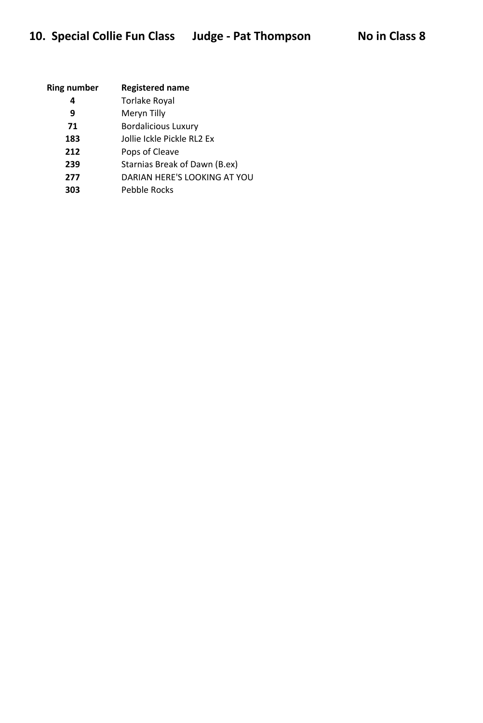| <b>Ring number</b> | <b>Registered name</b>        |
|--------------------|-------------------------------|
| 4                  | <b>Torlake Royal</b>          |
| 9                  | Meryn Tilly                   |
| 71                 | <b>Bordalicious Luxury</b>    |
| 183                | Jollie Ickle Pickle RL2 Ex    |
| 212                | Pops of Cleave                |
| 239                | Starnias Break of Dawn (B.ex) |
| 277                | DARIAN HERE'S LOOKING AT YOU  |
| 303                | Pebble Rocks                  |
|                    |                               |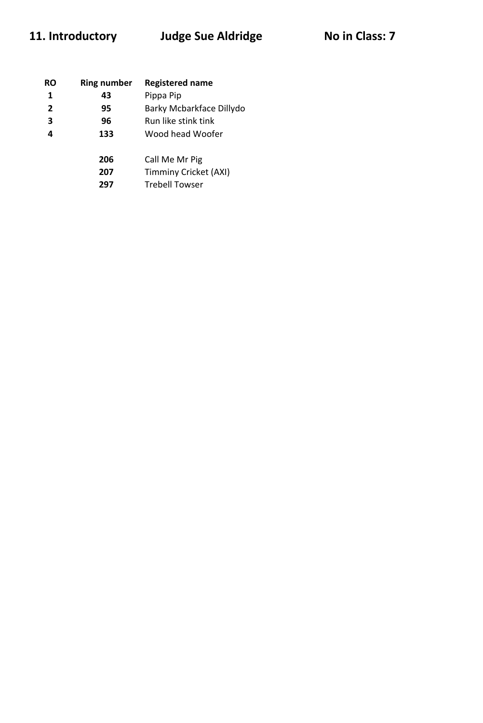# 11. Introductory Judge Sue Aldridge No in Class: 7

| RO             | <b>Ring number</b> | <b>Registered name</b>   |
|----------------|--------------------|--------------------------|
| 1              | 43                 | Pippa Pip                |
| $\overline{2}$ | 95                 | Barky Mcbarkface Dillydo |
| 3              | 96                 | Run like stink tink      |
| 4              | 133                | Wood head Woofer         |
|                | 206                | Call Me Mr Pig           |
|                | 207                | Timminy Cricket (AXI)    |
|                | 297                | <b>Trebell Towser</b>    |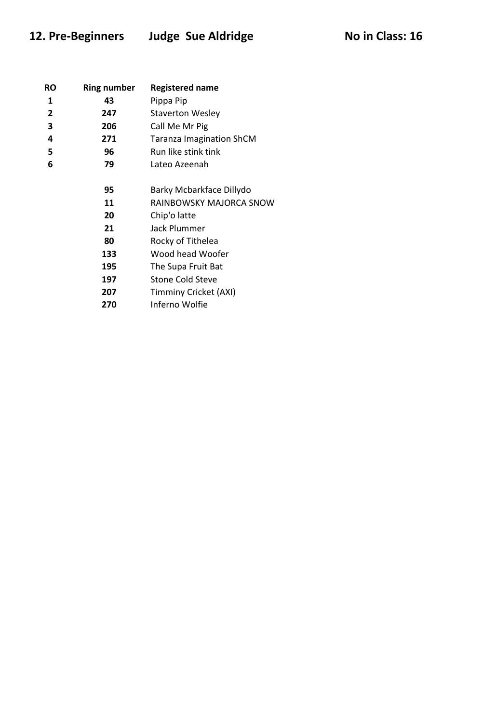## 12. Pre-Beginners Judge Sue Aldridge Moin Class: 16

| RO           | <b>Ring number</b> | <b>Registered name</b>          |
|--------------|--------------------|---------------------------------|
| 1            | 43                 | Pippa Pip                       |
| $\mathbf{2}$ | 247                | <b>Staverton Wesley</b>         |
| 3            | 206                | Call Me Mr Pig                  |
| 4            | 271                | <b>Taranza Imagination ShCM</b> |
| 5            | 96                 | Run like stink tink             |
| 6            | 79                 | Lateo Azeenah                   |
|              | 95                 | Barky Mcbarkface Dillydo        |
|              | 11                 | RAINBOWSKY MAJORCA SNOW         |
|              | 20                 | Chip'o latte                    |
|              | 21                 | Jack Plummer                    |
|              | 80                 | Rocky of Tithelea               |
|              | 133                | Wood head Woofer                |
|              | 195                | The Supa Fruit Bat              |
|              | 197                | <b>Stone Cold Steve</b>         |
|              | 207                | Timminy Cricket (AXI)           |
|              | 270                | Inferno Wolfie                  |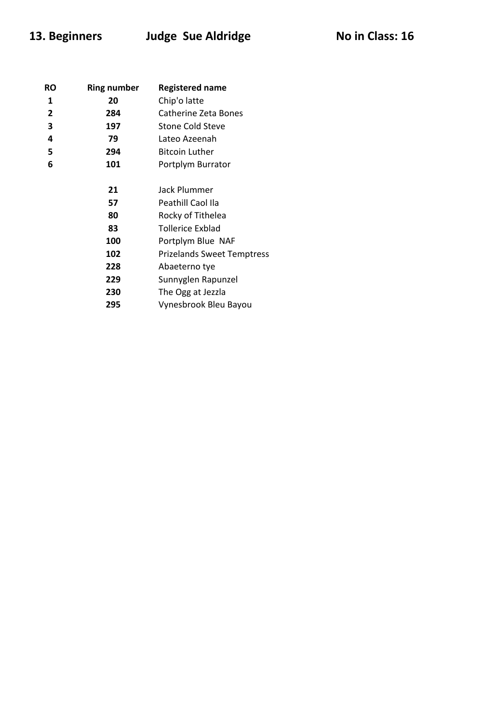| RO | <b>Ring number</b> | <b>Registered name</b>            |
|----|--------------------|-----------------------------------|
| 1  | 20                 | Chip'o latte                      |
| 2  | 284                | <b>Catherine Zeta Bones</b>       |
| 3  | 197                | <b>Stone Cold Steve</b>           |
| 4  | 79                 | Lateo Azeenah                     |
| 5  | 294                | <b>Bitcoin Luther</b>             |
| 6  | 101                | Portplym Burrator                 |
|    |                    |                                   |
|    | 21                 | Jack Plummer                      |
|    | 57                 | Peathill Caol Ila                 |
|    | 80                 | Rocky of Tithelea                 |
|    | 83                 | Tollerice Exblad                  |
|    | 100                | Portplym Blue NAF                 |
|    | 102                | <b>Prizelands Sweet Temptress</b> |
|    | 228                | Abaeterno tye                     |
|    | 229                | Sunnyglen Rapunzel                |
|    | 230                | The Ogg at Jezzla                 |
|    | 295                | Vynesbrook Bleu Bayou             |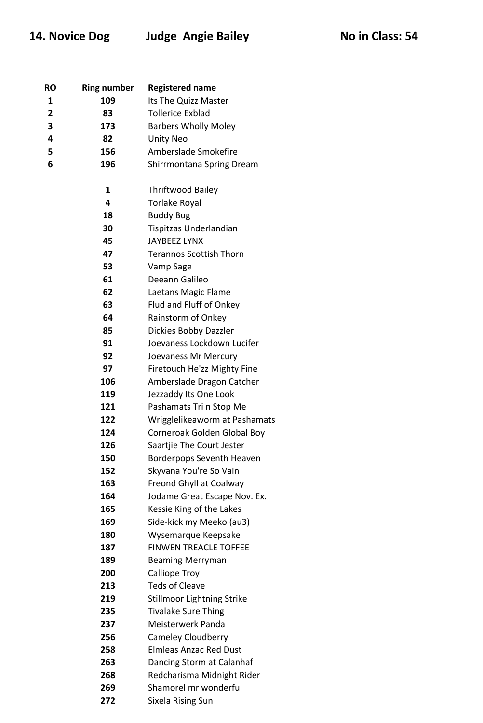|  | No in Class: 54 |  |
|--|-----------------|--|
|  |                 |  |

| RO             | <b>Ring number</b> | <b>Registered name</b>         |
|----------------|--------------------|--------------------------------|
| 1              | 109                | Its The Quizz Master           |
| $\overline{2}$ | 83                 | <b>Tollerice Exblad</b>        |
| 3              | 173                | <b>Barbers Wholly Moley</b>    |
| 4              | 82                 | <b>Unity Neo</b>               |
| 5              | 156                | Amberslade Smokefire           |
| 6              | 196                | Shirrmontana Spring Dream      |
|                |                    |                                |
|                | $\mathbf 1$        | <b>Thriftwood Bailey</b>       |
|                | 4                  | <b>Torlake Royal</b>           |
|                | 18                 | <b>Buddy Bug</b>               |
|                | 30                 | Tispitzas Underlandian         |
|                | 45                 | <b>JAYBEEZ LYNX</b>            |
|                | 47                 | <b>Terannos Scottish Thorn</b> |
|                | 53                 | Vamp Sage                      |
|                | 61                 | Deeann Galileo                 |
|                | 62                 | Laetans Magic Flame            |
|                | 63                 | Flud and Fluff of Onkey        |
|                | 64                 | Rainstorm of Onkey             |
|                | 85                 | Dickies Bobby Dazzler          |
|                | 91                 | Joevaness Lockdown Lucifer     |
|                | 92                 | Joevaness Mr Mercury           |
|                | 97                 | Firetouch He'zz Mighty Fine    |
|                | 106                | Amberslade Dragon Catcher      |
|                | 119                | Jezzaddy Its One Look          |
|                | 121                | Pashamats Tri n Stop Me        |
|                | 122                | Wrigglelikeaworm at Pashamats  |
|                | 124                | Corneroak Golden Global Boy    |
|                | 126                | Saartjie The Court Jester      |
|                | 150                | Borderpops Seventh Heaven      |
|                | 152                | Skyvana You're So Vain         |
|                | 163                | Freond Ghyll at Coalway        |
|                | 164                | Jodame Great Escape Nov. Ex.   |
|                | 165                | Kessie King of the Lakes       |
|                | 169                | Side-kick my Meeko (au3)       |
|                | 180                | Wysemarque Keepsake            |
|                | 187                | <b>FINWEN TREACLE TOFFEE</b>   |
|                | 189                | <b>Beaming Merryman</b>        |
|                | 200                | Calliope Troy                  |
|                | 213                | <b>Teds of Cleave</b>          |
|                | 219                | Stillmoor Lightning Strike     |
|                | 235                | <b>Tivalake Sure Thing</b>     |
|                | 237                | Meisterwerk Panda              |
|                | 256                | Cameley Cloudberry             |
|                | 258                | <b>Elmleas Anzac Red Dust</b>  |
|                | 263                | Dancing Storm at Calanhaf      |
|                | 268                | Redcharisma Midnight Rider     |
|                | 269                | Shamorel mr wonderful          |
|                | 272                | Sixela Rising Sun              |
|                |                    |                                |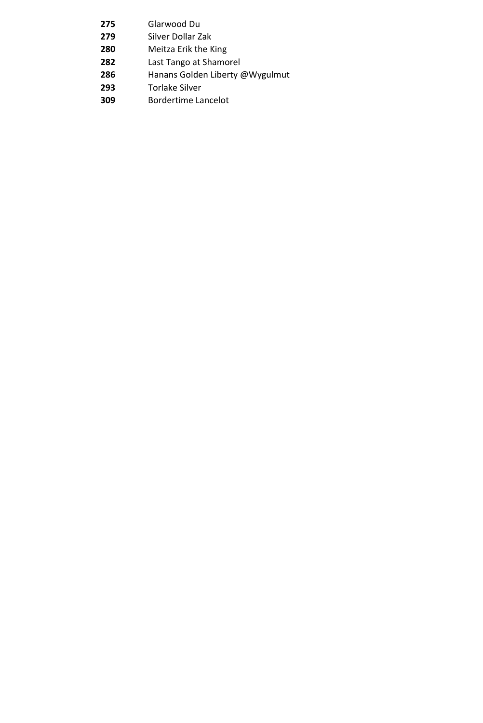- Glarwood Du
- Silver Dollar Zak
- Meitza Erik the King
- Last Tango at Shamorel
- Hanans Golden Liberty @Wygulmut
- Torlake Silver
- Bordertime Lancelot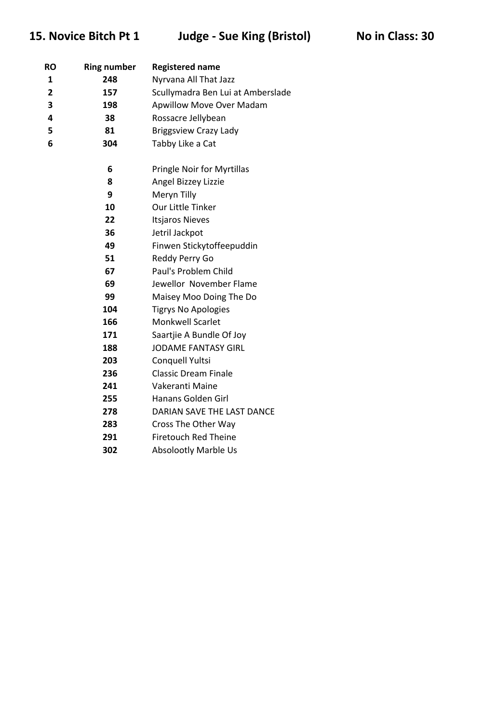15. Novice Bitch Pt 1 Judge - Sue King (Bristol) No in Class: 30

| RO             | <b>Ring number</b> | <b>Registered name</b>            |
|----------------|--------------------|-----------------------------------|
| 1              | 248                | Nyrvana All That Jazz             |
| $\overline{2}$ | 157                | Scullymadra Ben Lui at Amberslade |
| 3              | 198                | Apwillow Move Over Madam          |
| 4              | 38                 | Rossacre Jellybean                |
| 5              | 81                 | <b>Briggsview Crazy Lady</b>      |
| 6              | 304                | Tabby Like a Cat                  |
|                | 6                  | <b>Pringle Noir for Myrtillas</b> |
|                | 8                  | Angel Bizzey Lizzie               |
|                | 9                  | Meryn Tilly                       |
|                | 10                 | Our Little Tinker                 |
|                | 22                 | <b>Itsjaros Nieves</b>            |
|                | 36                 | Jetril Jackpot                    |
|                | 49                 | Finwen Stickytoffeepuddin         |
|                | 51                 | Reddy Perry Go                    |
|                | 67                 | Paul's Problem Child              |
|                | 69                 | Jewellor November Flame           |
|                | 99                 | Maisey Moo Doing The Do           |
|                | 104                | <b>Tigrys No Apologies</b>        |
|                | 166                | <b>Monkwell Scarlet</b>           |
|                | 171                | Saartjie A Bundle Of Joy          |
|                | 188                | <b>JODAME FANTASY GIRL</b>        |
|                | 203                | Conquell Yultsi                   |
|                | 236                | <b>Classic Dream Finale</b>       |
|                | 241                | Vakeranti Maine                   |
|                | 255                | Hanans Golden Girl                |
|                | 278                | DARIAN SAVE THE LAST DANCE        |
|                | 283                | Cross The Other Way               |
|                | 291                | <b>Firetouch Red Theine</b>       |
|                | 302                | <b>Absolootly Marble Us</b>       |
|                |                    |                                   |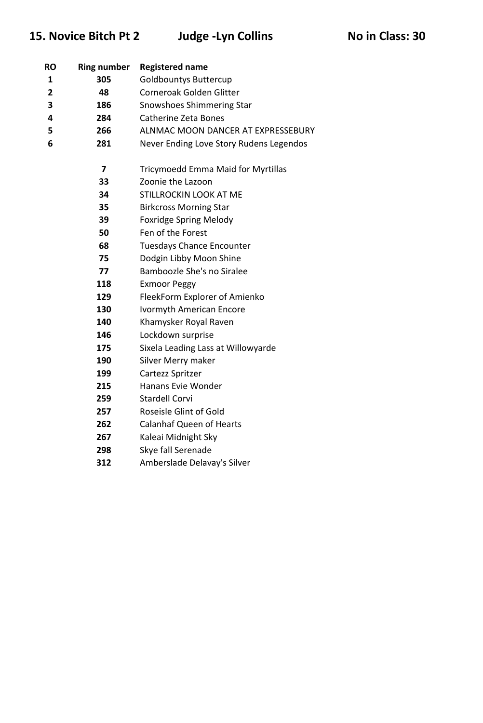## 15. Novice Bitch Pt 2 Judge -Lyn Collins No in Class: 30

| RO             | <b>Ring number</b> | <b>Registered name</b>                             |
|----------------|--------------------|----------------------------------------------------|
| 1              | 305                | <b>Goldbountys Buttercup</b>                       |
| $\overline{2}$ | 48                 | Corneroak Golden Glitter                           |
| 3              | 186                | Snowshoes Shimmering Star                          |
| 4              | 284                | <b>Catherine Zeta Bones</b>                        |
| 5              | 266                | ALNMAC MOON DANCER AT EXPRESSEBURY                 |
| 6              | 281                | Never Ending Love Story Rudens Legendos            |
|                |                    |                                                    |
|                | 7                  | <b>Tricymoedd Emma Maid for Myrtillas</b>          |
|                | 33                 | Zoonie the Lazoon<br><b>STILLROCKIN LOOK AT ME</b> |
|                | 34                 |                                                    |
|                | 35                 | <b>Birkcross Morning Star</b>                      |
|                | 39                 | <b>Foxridge Spring Melody</b>                      |
|                | 50                 | Fen of the Forest                                  |
|                | 68                 | <b>Tuesdays Chance Encounter</b>                   |
|                | 75                 | Dodgin Libby Moon Shine                            |
|                | 77                 | Bamboozle She's no Siralee                         |
|                | 118                | <b>Exmoor Peggy</b>                                |
|                | 129                | FleekForm Explorer of Amienko                      |
|                | 130                | <b>Ivormyth American Encore</b>                    |
|                | 140                | Khamysker Royal Raven                              |
|                | 146                | Lockdown surprise                                  |
|                | 175                | Sixela Leading Lass at Willowyarde                 |
|                | 190                | Silver Merry maker                                 |
|                | 199                | Cartezz Spritzer                                   |
|                | 215                | Hanans Evie Wonder                                 |
|                | 259                | <b>Stardell Corvi</b>                              |
|                | 257                | Roseisle Glint of Gold                             |
|                | 262                | <b>Calanhaf Queen of Hearts</b>                    |
|                | 267                | Kaleai Midnight Sky                                |
|                | 298                | Skye fall Serenade                                 |
|                | 312                | Amberslade Delavay's Silver                        |
|                |                    |                                                    |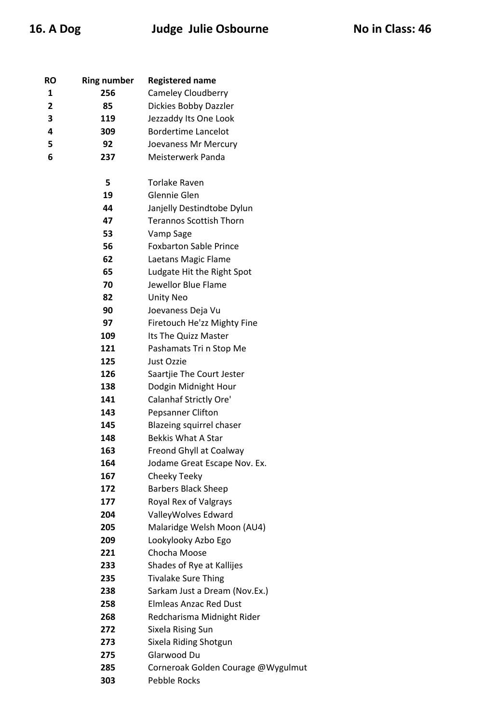## 16. A Dog **Judge Julie Osbourne** No in Class: 46

| RO | <b>Ring number</b> | <b>Registered name</b>             |
|----|--------------------|------------------------------------|
| 1  | 256                | <b>Cameley Cloudberry</b>          |
| 2  | 85                 | Dickies Bobby Dazzler              |
| 3  | 119                | Jezzaddy Its One Look              |
| 4  | 309                | <b>Bordertime Lancelot</b>         |
| 5  | 92                 | Joevaness Mr Mercury               |
| 6  | 237                | Meisterwerk Panda                  |
|    |                    |                                    |
|    | 5                  | <b>Torlake Raven</b>               |
|    | 19                 | Glennie Glen                       |
|    | 44                 | Janjelly Destindtobe Dylun         |
|    | 47                 | <b>Terannos Scottish Thorn</b>     |
|    | 53                 | Vamp Sage                          |
|    | 56                 | <b>Foxbarton Sable Prince</b>      |
|    | 62                 | Laetans Magic Flame                |
|    | 65                 | Ludgate Hit the Right Spot         |
|    | 70                 | Jewellor Blue Flame                |
|    | 82                 | <b>Unity Neo</b>                   |
|    | 90                 | Joevaness Deja Vu                  |
|    | 97                 | Firetouch He'zz Mighty Fine        |
|    | 109                | Its The Quizz Master               |
|    | 121                | Pashamats Tri n Stop Me            |
|    | 125                | Just Ozzie                         |
|    | 126                | Saartjie The Court Jester          |
|    | 138                | Dodgin Midnight Hour               |
|    | 141                | Calanhaf Strictly Ore'             |
|    | 143                | Pepsanner Clifton                  |
|    | 145                | Blazeing squirrel chaser           |
|    | 148                | <b>Bekkis What A Star</b>          |
|    | 163                | Freond Ghyll at Coalway            |
|    | 164                | Jodame Great Escape Nov. Ex.       |
|    | 167                | Cheeky Teeky                       |
|    | 172                | <b>Barbers Black Sheep</b>         |
|    | 177                | Royal Rex of Valgrays              |
|    | 204                | ValleyWolves Edward                |
|    | 205                | Malaridge Welsh Moon (AU4)         |
|    | 209                | Lookylooky Azbo Ego                |
|    | 221                | Chocha Moose                       |
|    | 233                | Shades of Rye at Kallijes          |
|    | 235                | <b>Tivalake Sure Thing</b>         |
|    | 238                | Sarkam Just a Dream (Nov.Ex.)      |
|    | 258                | <b>Elmleas Anzac Red Dust</b>      |
|    | 268                | Redcharisma Midnight Rider         |
|    | 272                | Sixela Rising Sun                  |
|    | 273                | Sixela Riding Shotgun              |
|    | 275                | Glarwood Du                        |
|    | 285                | Corneroak Golden Courage @Wygulmut |

Pebble Rocks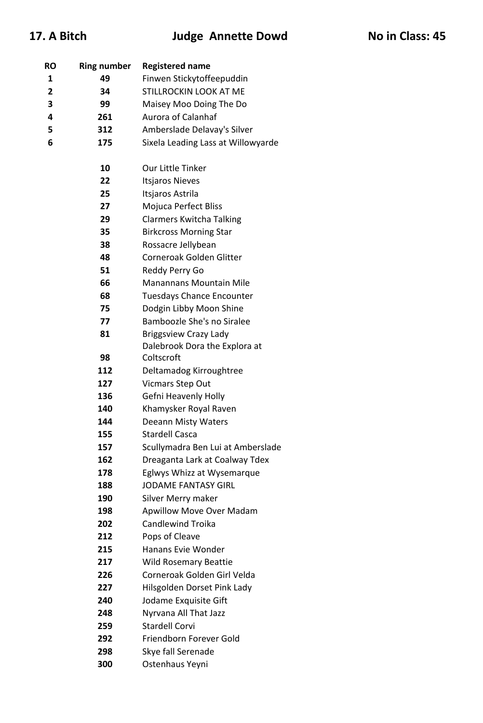| RO             | <b>Ring number</b> | <b>Registered name</b>             |
|----------------|--------------------|------------------------------------|
| 1              | 49                 | Finwen Stickytoffeepuddin          |
| $\overline{2}$ | 34                 | STILLROCKIN LOOK AT ME             |
| 3              | 99                 | Maisey Moo Doing The Do            |
| 4              | 261                | Aurora of Calanhaf                 |
| 5              | 312                | Amberslade Delavay's Silver        |
| 6              | 175                | Sixela Leading Lass at Willowyarde |
|                |                    |                                    |
|                | 10                 | Our Little Tinker                  |
|                | 22                 | <b>Itsjaros Nieves</b>             |
|                | 25                 | Itsjaros Astrila                   |
|                | 27                 | Mojuca Perfect Bliss               |
|                | 29                 | <b>Clarmers Kwitcha Talking</b>    |
|                | 35                 | <b>Birkcross Morning Star</b>      |
|                | 38                 | Rossacre Jellybean                 |
|                | 48                 | Corneroak Golden Glitter           |
|                | 51                 | Reddy Perry Go                     |
|                | 66                 | <b>Manannans Mountain Mile</b>     |
|                | 68                 | <b>Tuesdays Chance Encounter</b>   |
|                | 75                 | Dodgin Libby Moon Shine            |
|                | 77                 | Bamboozle She's no Siralee         |
|                | 81                 | <b>Briggsview Crazy Lady</b>       |
|                |                    | Dalebrook Dora the Explora at      |
|                | 98                 | Coltscroft                         |
|                | 112                | Deltamadog Kirroughtree            |
|                | 127                | Vicmars Step Out                   |
|                | 136                | Gefni Heavenly Holly               |
|                | 140                | Khamysker Royal Raven              |
|                | 144                | <b>Deeann Misty Waters</b>         |
|                | 155                | <b>Stardell Casca</b>              |
|                | 157                | Scullymadra Ben Lui at Amberslade  |
|                | 162                | Dreaganta Lark at Coalway Tdex     |
|                | 178                | Eglwys Whizz at Wysemarque         |
|                | 188                | <b>JODAME FANTASY GIRL</b>         |
|                | 190                | Silver Merry maker                 |
|                | 198                | <b>Apwillow Move Over Madam</b>    |
|                | 202                | <b>Candlewind Troika</b>           |
|                | 212                | Pops of Cleave                     |
|                | 215                | Hanans Evie Wonder                 |
|                | 217                | <b>Wild Rosemary Beattie</b>       |
|                | 226                | Corneroak Golden Girl Velda        |
|                | 227                | Hilsgolden Dorset Pink Lady        |
|                | 240                | Jodame Exquisite Gift              |
|                | 248                | Nyrvana All That Jazz              |
|                | 259                | <b>Stardell Corvi</b>              |
|                | 292                | Friendborn Forever Gold            |
|                | 298                | Skye fall Serenade                 |
|                | 300                | Ostenhaus Yeyni                    |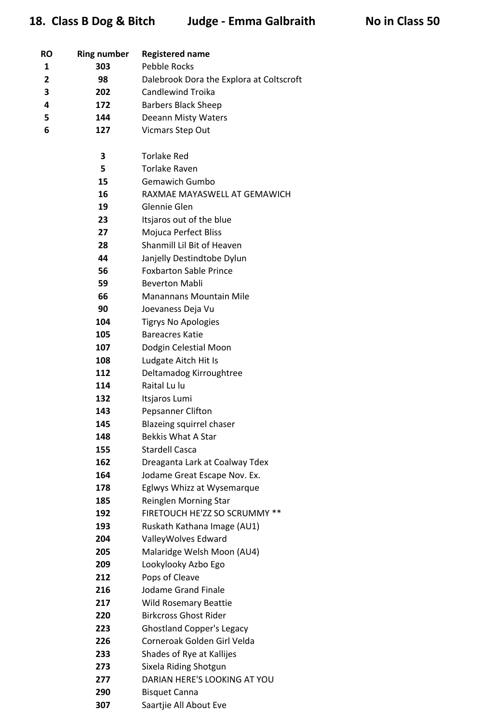| <b>RO</b> | <b>Ring number</b> | <b>Registered name</b>                               |
|-----------|--------------------|------------------------------------------------------|
| 1         | 303                | <b>Pebble Rocks</b>                                  |
| 2         | 98                 | Dalebrook Dora the Explora at Coltscroft             |
| 3         | 202                | <b>Candlewind Troika</b>                             |
| 4         | 172                | <b>Barbers Black Sheep</b>                           |
| 5         | 144                | Deeann Misty Waters                                  |
| 6         | 127                | <b>Vicmars Step Out</b>                              |
|           |                    |                                                      |
|           | 3                  | <b>Torlake Red</b>                                   |
|           | 5                  | <b>Torlake Raven</b>                                 |
|           | 15                 | <b>Gemawich Gumbo</b>                                |
|           | 16                 | RAXMAE MAYASWELL AT GEMAWICH                         |
|           | 19                 | Glennie Glen                                         |
|           | 23                 | Itsjaros out of the blue                             |
|           | 27                 | Mojuca Perfect Bliss                                 |
|           | 28                 | Shanmill Lil Bit of Heaven                           |
|           | 44                 | Janjelly Destindtobe Dylun                           |
|           | 56                 | <b>Foxbarton Sable Prince</b>                        |
|           | 59                 | <b>Beverton Mabli</b>                                |
|           | 66<br>90           | <b>Manannans Mountain Mile</b>                       |
|           | 104                | Joevaness Deja Vu                                    |
|           | 105                | <b>Tigrys No Apologies</b><br><b>Bareacres Katie</b> |
|           | 107                |                                                      |
|           | 108                | Dodgin Celestial Moon<br>Ludgate Aitch Hit Is        |
|           | 112                | Deltamadog Kirroughtree                              |
|           | 114                | Raital Lu lu                                         |
|           | 132                | Itsjaros Lumi                                        |
|           | 143                | Pepsanner Clifton                                    |
|           | 145                | Blazeing squirrel chaser                             |
|           | 148                | <b>Bekkis What A Star</b>                            |
|           | 155                | <b>Stardell Casca</b>                                |
|           | 162                | Dreaganta Lark at Coalway Tdex                       |
|           | 164                | Jodame Great Escape Nov. Ex.                         |
|           | 178                | Eglwys Whizz at Wysemarque                           |
|           | 185                | Reinglen Morning Star                                |
|           | 192                | FIRETOUCH HE'ZZ SO SCRUMMY **                        |
|           | 193                | Ruskath Kathana Image (AU1)                          |
|           | 204                | ValleyWolves Edward                                  |
|           | 205                | Malaridge Welsh Moon (AU4)                           |
|           | 209                | Lookylooky Azbo Ego                                  |
|           | 212                | Pops of Cleave                                       |
|           | 216                | <b>Jodame Grand Finale</b>                           |
|           | 217                | <b>Wild Rosemary Beattie</b>                         |
|           | 220                | <b>Birkcross Ghost Rider</b>                         |
|           | 223                | <b>Ghostland Copper's Legacy</b>                     |
|           | 226                | Corneroak Golden Girl Velda                          |
|           | 233                | Shades of Rye at Kallijes                            |
|           | 273                | Sixela Riding Shotgun                                |
|           | 277                | DARIAN HERE'S LOOKING AT YOU                         |
|           | 290                | <b>Bisquet Canna</b>                                 |
|           | 307                | Saartjie All About Eve                               |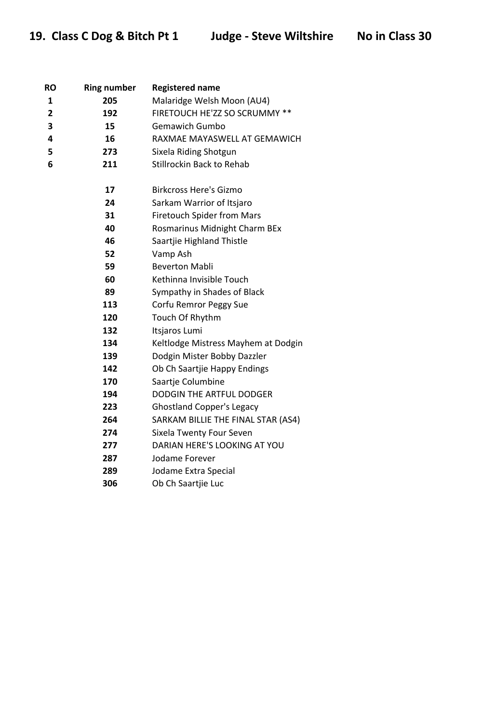| <b>RO</b> | <b>Ring number</b> | <b>Registered name</b>              |
|-----------|--------------------|-------------------------------------|
| 1         | 205                | Malaridge Welsh Moon (AU4)          |
| 2         | 192                | FIRETOUCH HE'ZZ SO SCRUMMY **       |
| 3         | 15                 | <b>Gemawich Gumbo</b>               |
| 4         | 16                 | RAXMAE MAYASWELL AT GEMAWICH        |
| 5         | 273                | Sixela Riding Shotgun               |
| 6         | 211                | Stillrockin Back to Rehab           |
|           | 17                 | <b>Birkcross Here's Gizmo</b>       |
|           | 24                 | Sarkam Warrior of Itsjaro           |
|           | 31                 | <b>Firetouch Spider from Mars</b>   |
|           | 40                 | Rosmarinus Midnight Charm BEx       |
|           | 46                 | Saartjie Highland Thistle           |
|           | 52                 | Vamp Ash                            |
|           | 59                 | <b>Beverton Mabli</b>               |
|           | 60                 | Kethinna Invisible Touch            |
|           | 89                 | Sympathy in Shades of Black         |
|           | 113                | Corfu Remror Peggy Sue              |
|           | 120                | Touch Of Rhythm                     |
|           | 132                | Itsjaros Lumi                       |
|           | 134                | Keltlodge Mistress Mayhem at Dodgin |
|           | 139                | Dodgin Mister Bobby Dazzler         |
|           | 142                | Ob Ch Saartjie Happy Endings        |
|           | 170                | Saartje Columbine                   |
|           | 194                | <b>DODGIN THE ARTFUL DODGER</b>     |
|           | 223                | <b>Ghostland Copper's Legacy</b>    |
|           | 264                | SARKAM BILLIE THE FINAL STAR (AS4)  |
|           | 274                | Sixela Twenty Four Seven            |
|           | 277                | DARIAN HERE'S LOOKING AT YOU        |
|           | 287                | Jodame Forever                      |
|           | 289                | Jodame Extra Special                |
|           | 306                | Ob Ch Saartjie Luc                  |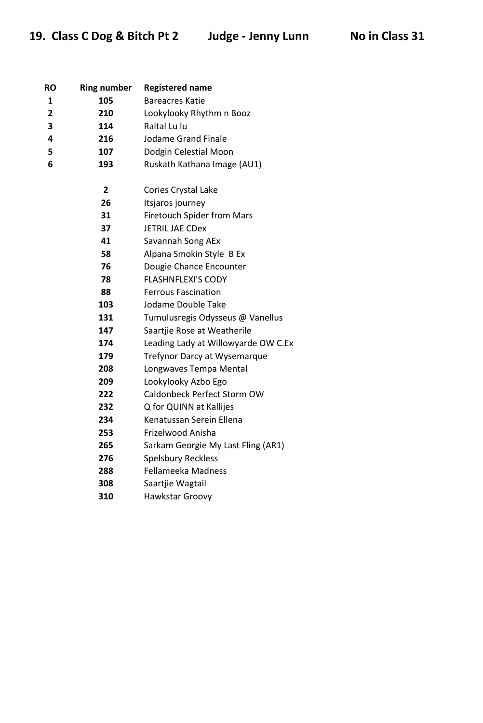| RO             | <b>Ring number</b>      | <b>Registered name</b>              |
|----------------|-------------------------|-------------------------------------|
| 1              | 105                     | <b>Bareacres Katie</b>              |
| $\overline{2}$ | 210                     | Lookylooky Rhythm n Booz            |
| 3              | 114                     | Raital Lu lu                        |
| 4              | 216                     | <b>Jodame Grand Finale</b>          |
| 5              | 107                     | Dodgin Celestial Moon               |
| 6              | 193                     | Ruskath Kathana Image (AU1)         |
|                | $\overline{\mathbf{2}}$ | Cories Crystal Lake                 |
|                | 26                      | Itsjaros journey                    |
|                | 31                      | Firetouch Spider from Mars          |
|                | 37                      | <b>JETRIL JAE CDex</b>              |
|                | 41                      | Savannah Song AEx                   |
|                | 58                      | Alpana Smokin Style B Ex            |
|                | 76                      | Dougie Chance Encounter             |
|                | 78                      | <b>FLASHNFLEXI'S CODY</b>           |
|                | 88                      | <b>Ferrous Fascination</b>          |
|                | 103                     | Jodame Double Take                  |
|                | 131                     | Tumulusregis Odysseus @ Vanellus    |
|                | 147                     | Saartjie Rose at Weatherile         |
|                | 174                     | Leading Lady at Willowyarde OW C.Ex |
|                | 179                     | Trefynor Darcy at Wysemarque        |
|                | 208                     | Longwaves Tempa Mental              |
|                | 209                     | Lookylooky Azbo Ego                 |
|                | 222                     | Caldonbeck Perfect Storm OW         |
|                | 232                     | Q for QUINN at Kallijes             |
|                | 234                     | Kenatussan Serein Ellena            |
|                | 253                     | Frizelwood Anisha                   |
|                | 265                     | Sarkam Georgie My Last Fling (AR1)  |
|                | 276                     | <b>Spelsbury Reckless</b>           |
|                | 288                     | Fellameeka Madness                  |
|                | 308                     | Saartjie Wagtail                    |
|                | 310                     | Hawkstar Groovy                     |